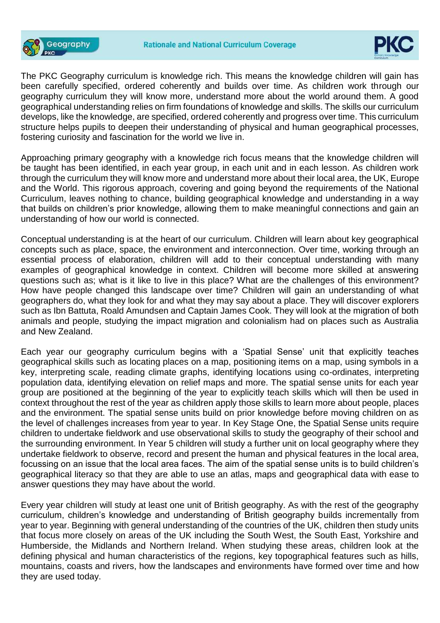



The PKC Geography curriculum is knowledge rich. This means the knowledge children will gain has been carefully specified, ordered coherently and builds over time. As children work through our geography curriculum they will know more, understand more about the world around them. A good geographical understanding relies on firm foundations of knowledge and skills. The skills our curriculum develops, like the knowledge, are specified, ordered coherently and progress over time. This curriculum structure helps pupils to deepen their understanding of physical and human geographical processes, fostering curiosity and fascination for the world we live in.

Approaching primary geography with a knowledge rich focus means that the knowledge children will be taught has been identified, in each year group, in each unit and in each lesson. As children work through the curriculum they will know more and understand more about their local area, the UK, Europe and the World. This rigorous approach, covering and going beyond the requirements of the National Curriculum, leaves nothing to chance, building geographical knowledge and understanding in a way that builds on children's prior knowledge, allowing them to make meaningful connections and gain an understanding of how our world is connected.

Conceptual understanding is at the heart of our curriculum. Children will learn about key geographical concepts such as place, space, the environment and interconnection. Over time, working through an essential process of elaboration, children will add to their conceptual understanding with many examples of geographical knowledge in context. Children will become more skilled at answering questions such as; what is it like to live in this place? What are the challenges of this environment? How have people changed this landscape over time? Children will gain an understanding of what geographers do, what they look for and what they may say about a place. They will discover explorers such as Ibn Battuta, Roald Amundsen and Captain James Cook. They will look at the migration of both animals and people, studying the impact migration and colonialism had on places such as Australia and New Zealand.

Each year our geography curriculum begins with a 'Spatial Sense' unit that explicitly teaches geographical skills such as locating places on a map, positioning items on a map, using symbols in a key, interpreting scale, reading climate graphs, identifying locations using co-ordinates, interpreting population data, identifying elevation on relief maps and more. The spatial sense units for each year group are positioned at the beginning of the year to explicitly teach skills which will then be used in context throughout the rest of the year as children apply those skills to learn more about people, places and the environment. The spatial sense units build on prior knowledge before moving children on as the level of challenges increases from year to year. In Key Stage One, the Spatial Sense units require children to undertake fieldwork and use observational skills to study the geography of their school and the surrounding environment. In Year 5 children will study a further unit on local geography where they undertake fieldwork to observe, record and present the human and physical features in the local area, focussing on an issue that the local area faces. The aim of the spatial sense units is to build children's geographical literacy so that they are able to use an atlas, maps and geographical data with ease to answer questions they may have about the world.

Every year children will study at least one unit of British geography. As with the rest of the geography curriculum, children's knowledge and understanding of British geography builds incrementally from year to year. Beginning with general understanding of the countries of the UK, children then study units that focus more closely on areas of the UK including the South West, the South East, Yorkshire and Humberside, the Midlands and Northern Ireland. When studying these areas, children look at the defining physical and human characteristics of the regions, key topographical features such as hills, mountains, coasts and rivers, how the landscapes and environments have formed over time and how they are used today.